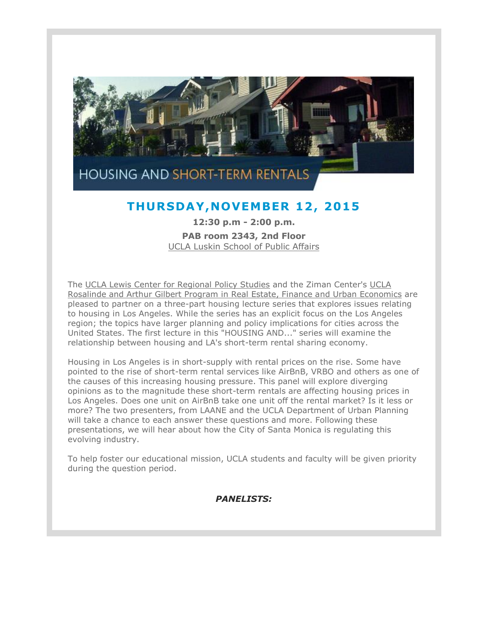

## **THURSDAY ,NOVEMBER 12, 2015**

**12:30 p.m - 2:00 p.m. PAB room 2343, 2nd Floor** [UCLA Luskin School of Public Affairs](https://t.e2ma.net/click/6kx6i/qwjnyh/ymtycd)

The [UCLA Lewis Center for Regional Policy Studies](https://t.e2ma.net/click/6kx6i/qwjnyh/u7uycd) and the Ziman Center's [UCLA](https://t.e2ma.net/click/6kx6i/qwjnyh/a0vycd)  [Rosalinde and Arthur Gilbert Program in Real Estate, Finance and Urban Economics](https://t.e2ma.net/click/6kx6i/qwjnyh/a0vycd) are pleased to partner on a three-part housing lecture series that explores issues relating to housing in Los Angeles. While the series has an explicit focus on the Los Angeles region; the topics have larger planning and policy implications for cities across the United States. The first lecture in this "HOUSING AND..." series will examine the relationship between housing and LA's short-term rental sharing economy.

Housing in Los Angeles is in short-supply with rental prices on the rise. Some have pointed to the rise of short-term rental services like AirBnB, VRBO and others as one of the causes of this increasing housing pressure. This panel will explore diverging opinions as to the magnitude these short-term rentals are affecting housing prices in Los Angeles. Does one unit on AirBnB take one unit off the rental market? Is it less or more? The two presenters, from LAANE and the UCLA Department of Urban Planning will take a chance to each answer these questions and more. Following these presentations, we will hear about how the City of Santa Monica is regulating this evolving industry.

To help foster our educational mission, UCLA students and faculty will be given priority during the question period.

*PANELISTS:*